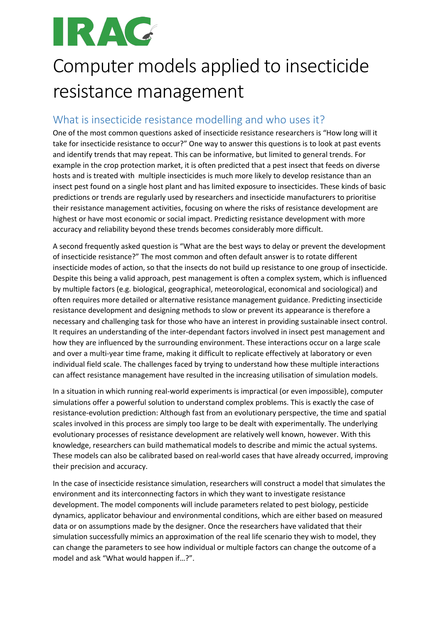# IRAC

## Computer models applied to insecticide resistance management

#### What is insecticide resistance modelling and who uses it?

One of the most common questions asked of insecticide resistance researchers is "How long will it take for insecticide resistance to occur?" One way to answer this questions is to look at past events and identify trends that may repeat. This can be informative, but limited to general trends. For example in the crop protection market, it is often predicted that a pest insect that feeds on diverse hosts and is treated with multiple insecticides is much more likely to develop resistance than an insect pest found on a single host plant and has limited exposure to insecticides. These kinds of basic predictions or trends are regularly used by researchers and insecticide manufacturers to prioritise their resistance management activities, focusing on where the risks of resistance development are highest or have most economic or social impact. Predicting resistance development with more accuracy and reliability beyond these trends becomes considerably more difficult.

A second frequently asked question is "What are the best ways to delay or prevent the development of insecticide resistance?" The most common and often default answer is to rotate different insecticide modes of action, so that the insects do not build up resistance to one group of insecticide. Despite this being a valid approach, pest management is often a complex system, which is influenced by multiple factors (e.g. biological, geographical, meteorological, economical and sociological) and often requires more detailed or alternative resistance management guidance. Predicting insecticide resistance development and designing methods to slow or prevent its appearance is therefore a necessary and challenging task for those who have an interest in providing sustainable insect control. It requires an understanding of the inter-dependant factors involved in insect pest management and how they are influenced by the surrounding environment. These interactions occur on a large scale and over a multi-year time frame, making it difficult to replicate effectively at laboratory or even individual field scale. The challenges faced by trying to understand how these multiple interactions can affect resistance management have resulted in the increasing utilisation of simulation models.

In a situation in which running real-world experiments is impractical (or even impossible), computer simulations offer a powerful solution to understand complex problems. This is exactly the case of resistance-evolution prediction: Although fast from an evolutionary perspective, the time and spatial scales involved in this process are simply too large to be dealt with experimentally. The underlying evolutionary processes of resistance development are relatively well known, however. With this knowledge, researchers can build mathematical models to describe and mimic the actual systems. These models can also be calibrated based on real-world cases that have already occurred, improving their precision and accuracy.

In the case of insecticide resistance simulation, researchers will construct a model that simulates the environment and its interconnecting factors in which they want to investigate resistance development. The model components will include parameters related to pest biology, pesticide dynamics, applicator behaviour and environmental conditions, which are either based on measured data or on assumptions made by the designer. Once the researchers have validated that their simulation successfully mimics an approximation of the real life scenario they wish to model, they can change the parameters to see how individual or multiple factors can change the outcome of a model and ask "What would happen if…?".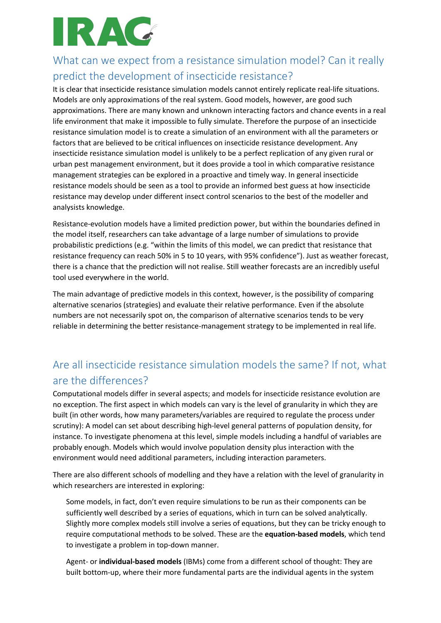

### What can we expect from a resistance simulation model? Can it really predict the development of insecticide resistance?

It is clear that insecticide resistance simulation models cannot entirely replicate real-life situations. Models are only approximations of the real system. Good models, however, are good such approximations. There are many known and unknown interacting factors and chance events in a real life environment that make it impossible to fully simulate. Therefore the purpose of an insecticide resistance simulation model is to create a simulation of an environment with all the parameters or factors that are believed to be critical influences on insecticide resistance development. Any insecticide resistance simulation model is unlikely to be a perfect replication of any given rural or urban pest management environment, but it does provide a tool in which comparative resistance management strategies can be explored in a proactive and timely way. In general insecticide resistance models should be seen as a tool to provide an informed best guess at how insecticide resistance may develop under different insect control scenarios to the best of the modeller and analysists knowledge.

Resistance-evolution models have a limited prediction power, but within the boundaries defined in the model itself, researchers can take advantage of a large number of simulations to provide probabilistic predictions (e.g. "within the limits of this model, we can predict that resistance that resistance frequency can reach 50% in 5 to 10 years, with 95% confidence"). Just as weather forecast, there is a chance that the prediction will not realise. Still weather forecasts are an incredibly useful tool used everywhere in the world.

The main advantage of predictive models in this context, however, is the possibility of comparing alternative scenarios (strategies) and evaluate their relative performance. Even if the absolute numbers are not necessarily spot on, the comparison of alternative scenarios tends to be very reliable in determining the better resistance-management strategy to be implemented in real life.

#### Are all insecticide resistance simulation models the same? If not, what are the differences?

Computational models differ in several aspects; and models for insecticide resistance evolution are no exception. The first aspect in which models can vary is the level of granularity in which they are built (in other words, how many parameters/variables are required to regulate the process under scrutiny): A model can set about describing high-level general patterns of population density, for instance. To investigate phenomena at this level, simple models including a handful of variables are probably enough. Models which would involve population density plus interaction with the environment would need additional parameters, including interaction parameters.

There are also different schools of modelling and they have a relation with the level of granularity in which researchers are interested in exploring:

Some models, in fact, don't even require simulations to be run as their components can be sufficiently well described by a series of equations, which in turn can be solved analytically. Slightly more complex models still involve a series of equations, but they can be tricky enough to require computational methods to be solved. These are the **equation-based models**, which tend to investigate a problem in top-down manner.

Agent- or **individual-based models** (IBMs) come from a different school of thought: They are built bottom-up, where their more fundamental parts are the individual agents in the system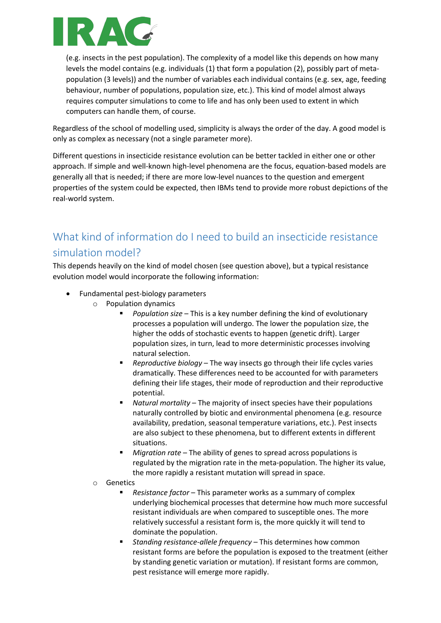

(e.g. insects in the pest population). The complexity of a model like this depends on how many levels the model contains (e.g. individuals (1) that form a population (2), possibly part of metapopulation (3 levels)) and the number of variables each individual contains (e.g. sex, age, feeding behaviour, number of populations, population size, etc.). This kind of model almost always requires computer simulations to come to life and has only been used to extent in which computers can handle them, of course.

Regardless of the school of modelling used, simplicity is always the order of the day. A good model is only as complex as necessary (not a single parameter more).

Different questions in insecticide resistance evolution can be better tackled in either one or other approach. If simple and well-known high-level phenomena are the focus, equation-based models are generally all that is needed; if there are more low-level nuances to the question and emergent properties of the system could be expected, then IBMs tend to provide more robust depictions of the real-world system.

### What kind of information do I need to build an insecticide resistance simulation model?

This depends heavily on the kind of model chosen (see question above), but a typical resistance evolution model would incorporate the following information:

- Fundamental pest-biology parameters
	- o Population dynamics
		- *Population size* This is a key number defining the kind of evolutionary processes a population will undergo. The lower the population size, the higher the odds of stochastic events to happen (genetic drift). Larger population sizes, in turn, lead to more deterministic processes involving natural selection.
		- *Reproductive biology* The way insects go through their life cycles varies dramatically. These differences need to be accounted for with parameters defining their life stages, their mode of reproduction and their reproductive potential.
		- *Natural mortality* The majority of insect species have their populations naturally controlled by biotic and environmental phenomena (e.g. resource availability, predation, seasonal temperature variations, etc.). Pest insects are also subject to these phenomena, but to different extents in different situations.
		- § *Migration rate* The ability of genes to spread across populations is regulated by the migration rate in the meta-population. The higher its value, the more rapidly a resistant mutation will spread in space.
	- o Genetics
		- § *Resistance factor* This parameter works as a summary of complex underlying biochemical processes that determine how much more successful resistant individuals are when compared to susceptible ones. The more relatively successful a resistant form is, the more quickly it will tend to dominate the population.
		- *Standing resistance-allele frequency* This determines how common resistant forms are before the population is exposed to the treatment (either by standing genetic variation or mutation). If resistant forms are common, pest resistance will emerge more rapidly.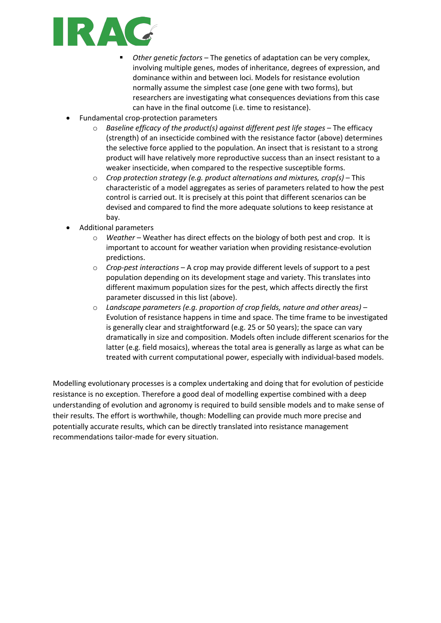

- § *Other genetic factors* The genetics of adaptation can be very complex, involving multiple genes, modes of inheritance, degrees of expression, and dominance within and between loci. Models for resistance evolution normally assume the simplest case (one gene with two forms), but researchers are investigating what consequences deviations from this case can have in the final outcome (i.e. time to resistance).
- Fundamental crop-protection parameters
	- o *Baseline efficacy of the product(s) against different pest life stages* The efficacy (strength) of an insecticide combined with the resistance factor (above) determines the selective force applied to the population. An insect that is resistant to a strong product will have relatively more reproductive success than an insect resistant to a weaker insecticide, when compared to the respective susceptible forms.
	- o *Crop protection strategy (e.g. product alternations and mixtures, crop(s)* This characteristic of a model aggregates as series of parameters related to how the pest control is carried out. It is precisely at this point that different scenarios can be devised and compared to find the more adequate solutions to keep resistance at bay.
- Additional parameters
	- o *Weather* Weather has direct effects on the biology of both pest and crop. It is important to account for weather variation when providing resistance-evolution predictions.
	- o *Crop-pest interactions*  A crop may provide different levels of support to a pest population depending on its development stage and variety. This translates into different maximum population sizes for the pest, which affects directly the first parameter discussed in this list (above).
	- o *Landscape parameters (e.g. proportion of crop fields, nature and other areas)* Evolution of resistance happens in time and space. The time frame to be investigated is generally clear and straightforward (e.g. 25 or 50 years); the space can vary dramatically in size and composition. Models often include different scenarios for the latter (e.g. field mosaics), whereas the total area is generally as large as what can be treated with current computational power, especially with individual-based models.

Modelling evolutionary processes is a complex undertaking and doing that for evolution of pesticide resistance is no exception. Therefore a good deal of modelling expertise combined with a deep understanding of evolution and agronomy is required to build sensible models and to make sense of their results. The effort is worthwhile, though: Modelling can provide much more precise and potentially accurate results, which can be directly translated into resistance management recommendations tailor-made for every situation.